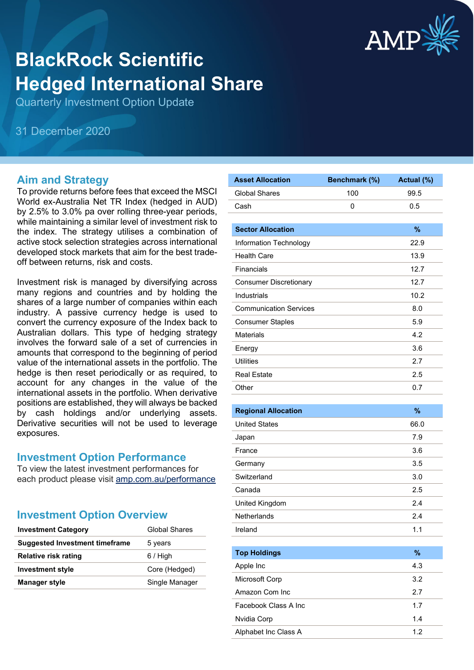

# **BlackRock Scientific Hedged International Share**

Quarterly Investment Option Update

31 December 2020

#### **Aim and Strategy**

To provide returns before fees that exceed the MSCI World ex-Australia Net TR Index (hedged in AUD) by 2.5% to 3.0% pa over rolling three-year periods, while maintaining a similar level of investment risk to the index. The strategy utilises a combination of active stock selection strategies across international developed stock markets that aim for the best tradeoff between returns, risk and costs.

Investment risk is managed by diversifying across many regions and countries and by holding the shares of a large number of companies within each industry. A passive currency hedge is used to convert the currency exposure of the Index back to Australian dollars. This type of hedging strategy involves the forward sale of a set of currencies in amounts that correspond to the beginning of period value of the international assets in the portfolio. The hedge is then reset periodically or as required, to account for any changes in the value of the international assets in the portfolio. When derivative positions are established, they will always be backed by cash holdings and/or underlying assets. Derivative securities will not be used to leverage exposures.

#### **Investment Option Performance**

To view the latest investment performances for each product please visit [amp.com.au/performance](https://www.amp.com.au/performance)

#### **Investment Option Overview**

| <b>Investment Category</b>            | <b>Global Shares</b> |
|---------------------------------------|----------------------|
| <b>Suggested Investment timeframe</b> | 5 years              |
| <b>Relative risk rating</b>           | $6/$ High            |
| <b>Investment style</b>               | Core (Hedged)        |
| <b>Manager style</b>                  | Single Manager       |

| <b>Asset Allocation</b>       | Benchmark (%) | Actual (%) |
|-------------------------------|---------------|------------|
| <b>Global Shares</b>          | 100           | 99.5       |
| Cash                          | 0             | 0.5        |
|                               |               |            |
| <b>Sector Allocation</b>      |               | %          |
| Information Technology        |               | 22.9       |
| <b>Health Care</b>            |               | 13.9       |
| Financials                    |               | 12.7       |
| <b>Consumer Discretionary</b> |               | 12.7       |
| Industrials                   |               | 10.2       |
| <b>Communication Services</b> |               | 8.0        |
| <b>Consumer Staples</b>       |               | 5.9        |
| <b>Materials</b>              |               | 4.2        |
| Energy                        |               | 3.6        |
| <b>Utilities</b>              |               | 2.7        |
| <b>Real Estate</b>            |               | 2.5        |
| Other                         |               | 0.7        |
|                               |               |            |
| <b>Regional Allocation</b>    |               | %          |
| <b>United States</b>          |               | 66.0       |
| Japan                         |               | 7.9        |
| France                        |               | 3.6        |
| Germany                       |               | 3.5        |
| Switzerland                   |               | 3.0        |
| Canada                        |               | 2.5        |
| United Kingdom                |               | 2.4        |
| Netherlands                   |               | 2.4        |
| Ireland                       |               | 1.1        |
|                               |               |            |
| <b>Top Holdings</b>           |               | $\%$       |
| Apple Inc                     |               | 4.3        |
| Microsoft Corp                |               | 3.2        |
| Amazon Com Inc                |               | 2.7        |
| Facebook Class A Inc          |               | 1.7        |
| Nvidia Corp                   |               | 1.4        |
| Alphabet Inc Class A          |               | 1.2        |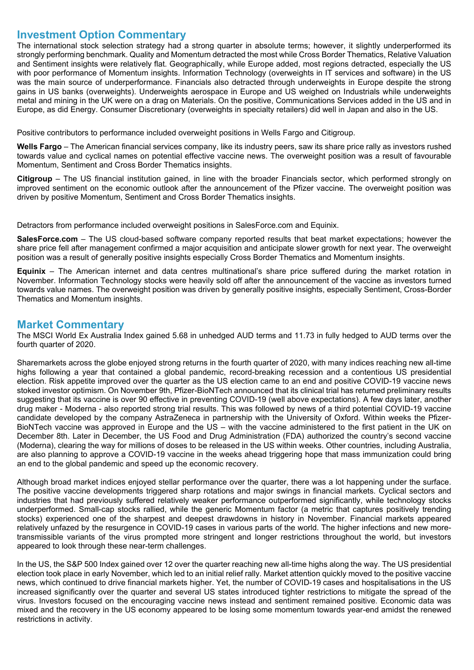### **Investment Option Commentary**

The international stock selection strategy had a strong quarter in absolute terms; however, it slightly underperformed its strongly performing benchmark. Quality and Momentum detracted the most while Cross Border Thematics, Relative Valuation and Sentiment insights were relatively flat. Geographically, while Europe added, most regions detracted, especially the US with poor performance of Momentum insights. Information Technology (overweights in IT services and software) in the US was the main source of underperformance. Financials also detracted through underweights in Europe despite the strong gains in US banks (overweights). Underweights aerospace in Europe and US weighed on Industrials while underweights metal and mining in the UK were on a drag on Materials. On the positive, Communications Services added in the US and in Europe, as did Energy. Consumer Discretionary (overweights in specialty retailers) did well in Japan and also in the US.

Positive contributors to performance included overweight positions in Wells Fargo and Citigroup.

**Wells Fargo** – The American financial services company, like its industry peers, saw its share price rally as investors rushed towards value and cyclical names on potential effective vaccine news. The overweight position was a result of favourable Momentum, Sentiment and Cross Border Thematics insights.

**Citigroup** – The US financial institution gained, in line with the broader Financials sector, which performed strongly on improved sentiment on the economic outlook after the announcement of the Pfizer vaccine. The overweight position was driven by positive Momentum, Sentiment and Cross Border Thematics insights.

Detractors from performance included overweight positions in SalesForce.com and Equinix.

**SalesForce.com** – The US cloud-based software company reported results that beat market expectations; however the share price fell after management confirmed a major acquisition and anticipate slower growth for next year. The overweight position was a result of generally positive insights especially Cross Border Thematics and Momentum insights.

**Equinix** – The American internet and data centres multinational's share price suffered during the market rotation in November. Information Technology stocks were heavily sold off after the announcement of the vaccine as investors turned towards value names. The overweight position was driven by generally positive insights, especially Sentiment, Cross-Border Thematics and Momentum insights.

### **Market Commentary**

The MSCI World Ex Australia Index gained 5.68 in unhedged AUD terms and 11.73 in fully hedged to AUD terms over the fourth quarter of 2020.

Sharemarkets across the globe enjoyed strong returns in the fourth quarter of 2020, with many indices reaching new all-time highs following a year that contained a global pandemic, record-breaking recession and a contentious US presidential election. Risk appetite improved over the quarter as the US election came to an end and positive COVID-19 vaccine news stoked investor optimism. On November 9th, Pfizer-BioNTech announced that its clinical trial has returned preliminary results suggesting that its vaccine is over 90 effective in preventing COVID-19 (well above expectations). A few days later, another drug maker - Moderna - also reported strong trial results. This was followed by news of a third potential COVID-19 vaccine candidate developed by the company AstraZeneca in partnership with the University of Oxford. Within weeks the Pfizer-BioNTech vaccine was approved in Europe and the US – with the vaccine administered to the first patient in the UK on December 8th. Later in December, the US Food and Drug Administration (FDA) authorized the country's second vaccine (Moderna), clearing the way for millions of doses to be released in the US within weeks. Other countries, including Australia, are also planning to approve a COVID-19 vaccine in the weeks ahead triggering hope that mass immunization could bring an end to the global pandemic and speed up the economic recovery.

Although broad market indices enjoyed stellar performance over the quarter, there was a lot happening under the surface. The positive vaccine developments triggered sharp rotations and major swings in financial markets. Cyclical sectors and industries that had previously suffered relatively weaker performance outperformed significantly, while technology stocks underperformed. Small-cap stocks rallied, while the generic Momentum factor (a metric that captures positively trending stocks) experienced one of the sharpest and deepest drawdowns in history in November. Financial markets appeared relatively unfazed by the resurgence in COVID-19 cases in various parts of the world. The higher infections and new moretransmissible variants of the virus prompted more stringent and longer restrictions throughout the world, but investors appeared to look through these near-term challenges.

In the US, the S&P 500 Index gained over 12 over the quarter reaching new all-time highs along the way. The US presidential election took place in early November, which led to an initial relief rally. Market attention quickly moved to the positive vaccine news, which continued to drive financial markets higher. Yet, the number of COVID-19 cases and hospitalisations in the US increased significantly over the quarter and several US states introduced tighter restrictions to mitigate the spread of the virus. Investors focused on the encouraging vaccine news instead and sentiment remained positive. Economic data was mixed and the recovery in the US economy appeared to be losing some momentum towards year-end amidst the renewed restrictions in activity.